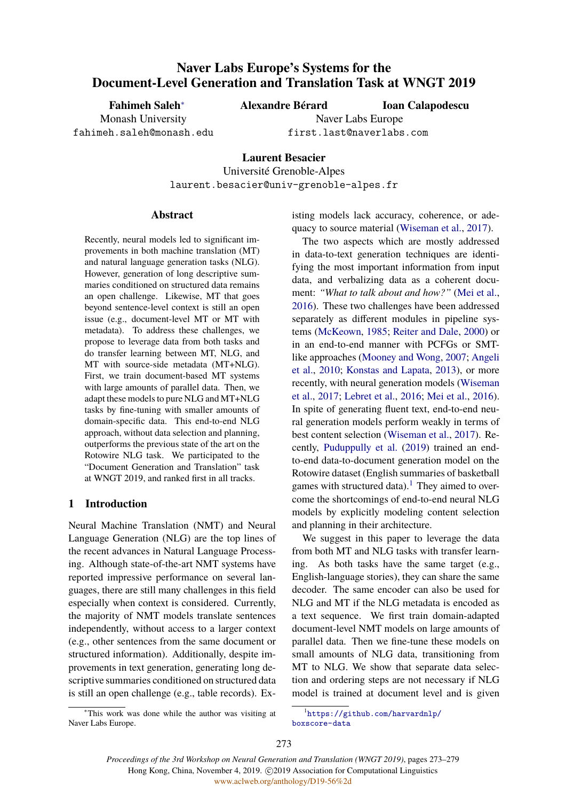# **Naver Labs Europe's Systems for the Document-Level Generation and Translation Task at WNGT 2019**

**Fahimeh Saleh***∗* Monash University

fahimeh.saleh@monash.edu

**Alexandre Bérard**

**Ioan Calapodescu**

Naver Labs Europe first.last@naverlabs.com

**Laurent Besacier** Université Grenoble-Alpes laurent.besacier@univ-grenoble-alpes.fr

## **Abstract**

Recently, neural models led to significant improvements in both machine translation (MT) and natural language generation tasks (NLG). However, generation of long descriptive summaries conditioned on structured data remains an open challenge. Likewise, MT that goes beyond sentence-level context is still an open issue (e.g., document-level MT or MT with metadata). To address these challenges, we propose to leverage data from both tasks and do transfer learning between MT, NLG, and MT with source-side metadata (MT+NLG). First, we train document-based MT systems with large amounts of parallel data. Then, we adapt these models to pure NLG and MT+NLG tasks by fine-tuning with smaller amounts of domain-specific data. This end-to-end NLG approach, without data selection and planning, outperforms the previous state of the art on the Rotowire NLG task. We participated to the "Document Generation and Translation" task at WNGT 2019, and ranked first in all tracks.

# **1 Introduction**

Neural Machine Translation (NMT) and Neural Language Generation (NLG) are the top lines of the recent advances in Natural Language Processing. Although state-of-the-art NMT systems have reported impressive performance on several languages, there are still many challenges in this field especially when context is considered. Currently, the majority of NMT models translate sentences independently, without access to a larger context (e.g., other sentences from the same document or structured information). Additionally, despite improvements in text generation, generating long descriptive summaries conditioned on structured data is still an open challenge (e.g., table records). Ex-

*<sup>∗</sup>*This work was done while the author was visiting at Naver Labs Europe.

isting models lack accuracy, coherence, or adequacy to source material ([Wiseman et al.,](#page-6-0) [2017\)](#page-6-0).

The two aspects which are mostly addressed in data-to-text generation techniques are identifying the most important information from input data, and verbalizing data as a coherent document: *"What to talk about and how?"* [\(Mei et al.,](#page-6-1) [2016](#page-6-1)). These two challenges have been addressed separately as different modules in pipeline systems ([McKeown,](#page-6-2) [1985;](#page-6-2) [Reiter and Dale](#page-6-3), [2000\)](#page-6-3) or in an end-to-end manner with PCFGs or SMTlike approaches ([Mooney and Wong,](#page-6-4) [2007;](#page-6-4) [Angeli](#page-6-5) [et al.](#page-6-5), [2010;](#page-6-5) [Konstas and Lapata,](#page-6-6) [2013](#page-6-6)), or more recently, with neural generation models ([Wiseman](#page-6-0) [et al.,](#page-6-0) [2017](#page-6-0); [Lebret et al.,](#page-6-7) [2016](#page-6-7); [Mei et al.,](#page-6-1) [2016](#page-6-1)). In spite of generating fluent text, end-to-end neural generation models perform weakly in terms of best content selection ([Wiseman et al.,](#page-6-0) [2017\)](#page-6-0). Recently, [Puduppully et al.](#page-6-8) [\(2019](#page-6-8)) trained an endto-end data-to-document generation model on the Rotowire dataset (English summaries of basketball games with structured data).<sup>[1](#page-0-0)</sup> They aimed to overcome the shortcomings of end-to-end neural NLG models by explicitly modeling content selection and planning in their architecture.

We suggest in this paper to leverage the data from both MT and NLG tasks with transfer learning. As both tasks have the same target (e.g., English-language stories), they can share the same decoder. The same encoder can also be used for NLG and MT if the NLG metadata is encoded as a text sequence. We first train domain-adapted document-level NMT models on large amounts of parallel data. Then we fine-tune these models on small amounts of NLG data, transitioning from MT to NLG. We show that separate data selection and ordering steps are not necessary if NLG model is trained at document level and is given

<span id="page-0-0"></span><sup>1</sup> [https://github.com/harvardnlp/](https://github.com/harvardnlp/boxscore-data) [boxscore-data](https://github.com/harvardnlp/boxscore-data)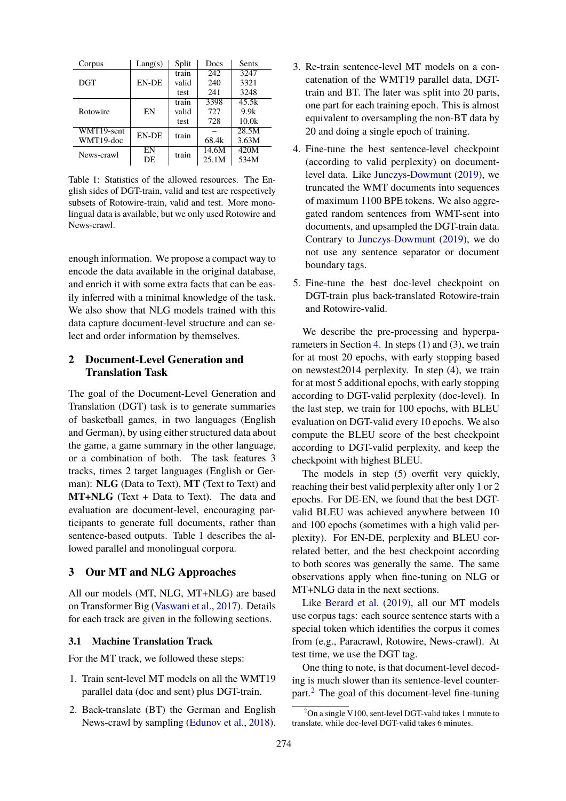<span id="page-1-0"></span>

| Corpus     | Lang(s)      | Split | Docs  | <b>Sents</b> |
|------------|--------------|-------|-------|--------------|
|            |              | train | 242   | 3247         |
| <b>DGT</b> | <b>EN-DE</b> | valid | 240   | 3321         |
|            |              | test  | 241   | 3248         |
| Rotowire   | EN           | train | 3398  | 45.5k        |
|            |              | valid | 727   | 9.9k         |
|            |              | test  | 728   | 10.0k        |
| WMT19-sent | EN-DE        | train |       | 28.5M        |
| WMT19-doc  |              |       | 68.4k | 3.63M        |
| News-crawl | EN<br>DE     | train | 14.6M | 420M         |
|            |              |       | 25.1M | 534M         |

Table 1: Statistics of the allowed resources. The English sides of DGT-train, valid and test are respectively subsets of Rotowire-train, valid and test. More monolingual data is available, but we only used Rotowire and News-crawl.

enough information. We propose a compact way to encode the data available in the original database, and enrich it with some extra facts that can be easily inferred with a minimal knowledge of the task. We also show that NLG models trained with this data capture document-level structure and can select and order information by themselves.

# **2 Document-Level Generation and Translation Task**

The goal of the Document-Level Generation and Translation (DGT) task is to generate summaries of basketball games, in two languages (English and German), by using either structured data about the game, a game summary in the other language, or a combination of both. The task features 3 tracks, times 2 target languages (English or German): **NLG** (Data to Text), **MT** (Text to Text) and **MT+NLG** (Text + Data to Text). The data and evaluation are document-level, encouraging participants to generate full documents, rather than sentence-based outputs. Table [1](#page-1-0) describes the allowed parallel and monolingual corpora.

## **3 Our MT and NLG Approaches**

All our models (MT, NLG, MT+NLG) are based on Transformer Big ([Vaswani et al.,](#page-6-9) [2017\)](#page-6-9). Details for each track are given in the following sections.

### **3.1 Machine Translation Track**

For the MT track, we followed these steps:

- 1. Train sent-level MT models on all the WMT19 parallel data (doc and sent) plus DGT-train.
- 2. Back-translate (BT) the German and English News-crawl by sampling [\(Edunov et al.,](#page-6-10) [2018\)](#page-6-10).
- 3. Re-train sentence-level MT models on a concatenation of the WMT19 parallel data, DGTtrain and BT. The later was split into 20 parts, one part for each training epoch. This is almost equivalent to oversampling the non-BT data by 20 and doing a single epoch of training.
- 4. Fine-tune the best sentence-level checkpoint (according to valid perplexity) on documentlevel data. Like [Junczys-Dowmunt](#page-6-11) ([2019\)](#page-6-11), we truncated the WMT documents into sequences of maximum 1100 BPE tokens. We also aggregated random sentences from WMT-sent into documents, and upsampled the DGT-train data. Contrary to [Junczys-Dowmunt](#page-6-11) ([2019\)](#page-6-11), we do not use any sentence separator or document boundary tags.
- 5. Fine-tune the best doc-level checkpoint on DGT-train plus back-translated Rotowire-train and Rotowire-valid.

We describe the pre-processing and hyperparameters in Section [4](#page-2-0). In steps (1) and (3), we train for at most 20 epochs, with early stopping based on newstest2014 perplexity. In step (4), we train for at most 5 additional epochs, with early stopping according to DGT-valid perplexity (doc-level). In the last step, we train for 100 epochs, with BLEU evaluation on DGT-valid every 10 epochs. We also compute the BLEU score of the best checkpoint according to DGT-valid perplexity, and keep the checkpoint with highest BLEU.

The models in step (5) overfit very quickly, reaching their best valid perplexity after only 1 or 2 epochs. For DE-EN, we found that the best DGTvalid BLEU was achieved anywhere between 10 and 100 epochs (sometimes with a high valid perplexity). For EN-DE, perplexity and BLEU correlated better, and the best checkpoint according to both scores was generally the same. The same observations apply when fine-tuning on NLG or MT+NLG data in the next sections.

Like [Berard et al.](#page-6-12) ([2019\)](#page-6-12), all our MT models use corpus tags: each source sentence starts with a special token which identifies the corpus it comes from (e.g., Paracrawl, Rotowire, News-crawl). At test time, we use the DGT tag.

One thing to note, is that document-level decoding is much slower than its sentence-level counterpart.[2](#page-1-1) The goal of this document-level fine-tuning

<span id="page-1-1"></span> $^{2}$ On a single V100, sent-level DGT-valid takes 1 minute to translate, while doc-level DGT-valid takes 6 minutes.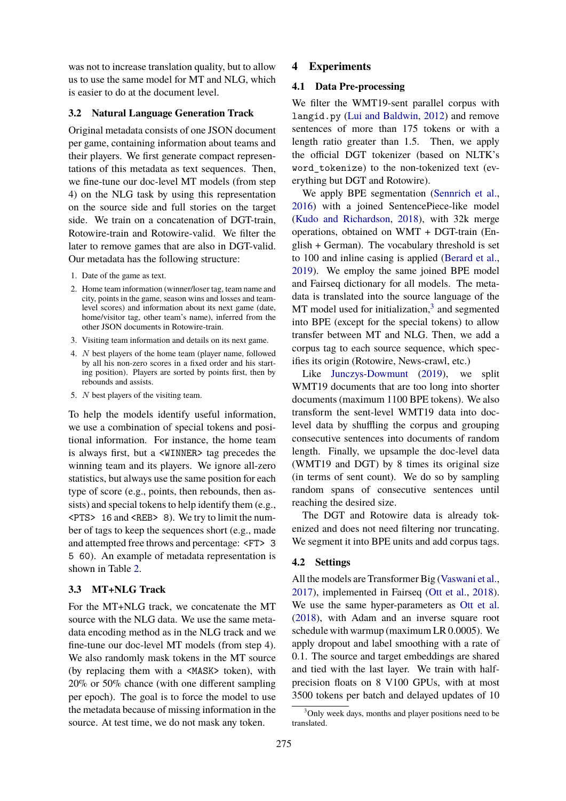was not to increase translation quality, but to allow us to use the same model for MT and NLG, which is easier to do at the document level.

### **3.2 Natural Language Generation Track**

Original metadata consists of one JSON document per game, containing information about teams and their players. We first generate compact representations of this metadata as text sequences. Then, we fine-tune our doc-level MT models (from step 4) on the NLG task by using this representation on the source side and full stories on the target side. We train on a concatenation of DGT-train, Rotowire-train and Rotowire-valid. We filter the later to remove games that are also in DGT-valid. Our metadata has the following structure:

- 1. Date of the game as text.
- 2. Home team information (winner/loser tag, team name and city, points in the game, season wins and losses and teamlevel scores) and information about its next game (date, home/visitor tag, other team's name), inferred from the other JSON documents in Rotowire-train.
- 3. Visiting team information and details on its next game.
- 4. *N* best players of the home team (player name, followed by all his non-zero scores in a fixed order and his starting position). Players are sorted by points first, then by rebounds and assists.
- 5. *N* best players of the visiting team.

To help the models identify useful information, we use a combination of special tokens and positional information. For instance, the home team is always first, but a <WINNER> tag precedes the winning team and its players. We ignore all-zero statistics, but always use the same position for each type of score (e.g., points, then rebounds, then assists) and special tokens to help identify them (e.g., <PTS> 16 and <REB> 8). We try to limit the number of tags to keep the sequences short (e.g., made and attempted free throws and percentage: <FT> 3 5 60). An example of metadata representation is shown in Table [2](#page-3-0).

## **3.3 MT+NLG Track**

For the MT+NLG track, we concatenate the MT source with the NLG data. We use the same metadata encoding method as in the NLG track and we fine-tune our doc-level MT models (from step 4). We also randomly mask tokens in the MT source (by replacing them with a <MASK> token), with 20% or 50% chance (with one different sampling per epoch). The goal is to force the model to use the metadata because of missing information in the source. At test time, we do not mask any token.

## <span id="page-2-0"></span>**4 Experiments**

#### **4.1 Data Pre-processing**

We filter the WMT19-sent parallel corpus with langid.py ([Lui and Baldwin,](#page-6-13) [2012\)](#page-6-13) and remove sentences of more than 175 tokens or with a length ratio greater than 1.5. Then, we apply the official DGT tokenizer (based on NLTK's word\_tokenize) to the non-tokenized text (everything but DGT and Rotowire).

We apply BPE segmentation [\(Sennrich et al.,](#page-6-14) [2016](#page-6-14)) with a joined SentencePiece-like model ([Kudo and Richardson,](#page-6-15) [2018](#page-6-15)), with 32k merge operations, obtained on WMT + DGT-train (English + German). The vocabulary threshold is set to 100 and inline casing is applied ([Berard et al.,](#page-6-12) [2019](#page-6-12)). We employ the same joined BPE model and Fairseq dictionary for all models. The metadata is translated into the source language of the MT model used for initialization,<sup>[3](#page-2-1)</sup> and segmented into BPE (except for the special tokens) to allow transfer between MT and NLG. Then, we add a corpus tag to each source sequence, which specifies its origin (Rotowire, News-crawl, etc.)

Like [Junczys-Dowmunt](#page-6-11) ([2019](#page-6-11)), we split WMT19 documents that are too long into shorter documents (maximum 1100 BPE tokens). We also transform the sent-level WMT19 data into doclevel data by shuffling the corpus and grouping consecutive sentences into documents of random length. Finally, we upsample the doc-level data (WMT19 and DGT) by 8 times its original size (in terms of sent count). We do so by sampling random spans of consecutive sentences until reaching the desired size.

The DGT and Rotowire data is already tokenized and does not need filtering nor truncating. We segment it into BPE units and add corpus tags.

#### **4.2 Settings**

All the models are Transformer Big ([Vaswani et al.,](#page-6-9) [2017](#page-6-9)), implemented in Fairseq [\(Ott et al.,](#page-6-16) [2018](#page-6-16)). We use the same hyper-parameters as [Ott et al.](#page-6-16) ([2018\)](#page-6-16), with Adam and an inverse square root schedule with warmup (maximum LR 0.0005). We apply dropout and label smoothing with a rate of 0.1. The source and target embeddings are shared and tied with the last layer. We train with halfprecision floats on 8 V100 GPUs, with at most 3500 tokens per batch and delayed updates of 10

<span id="page-2-1"></span><sup>&</sup>lt;sup>3</sup>Only week days, months and player positions need to be translated.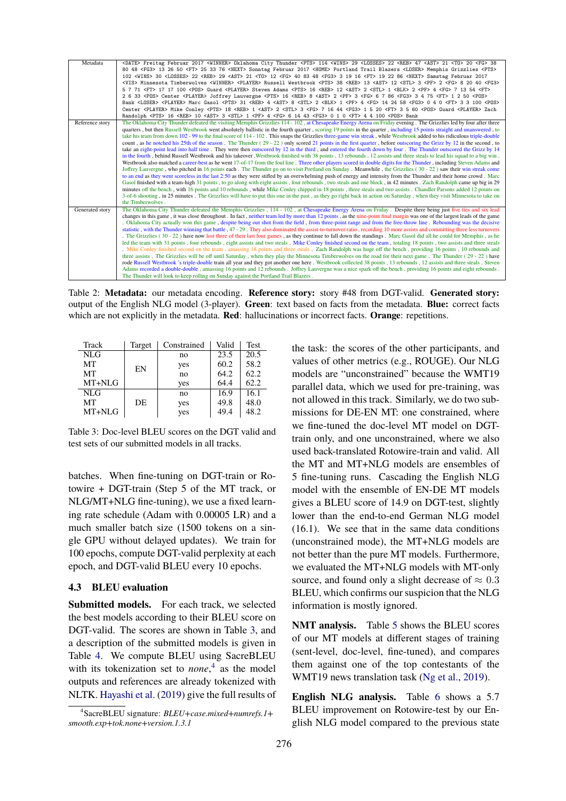<span id="page-3-0"></span>

| Metadata        | <date> Freitag Februar 2017 <winner> Oklahoma City Thunder <pts> 114 <wins> 29 <losses> 22 <reb> 47 <ast> 21 <to> 20 <fg> 38</fg></to></ast></reb></losses></wins></pts></winner></date>                |
|-----------------|---------------------------------------------------------------------------------------------------------------------------------------------------------------------------------------------------------|
|                 | 80 48 <fg3> 13 26 50 <ft> 25 33 76 <next> Sonntag Februar 2017 <home> Portland Trail Blazers <loser> Memphis Grizzlies <pts></pts></loser></home></next></ft></fg3>                                     |
|                 | 102 <wins> 30 <losses> 22 <reb> 29 <ast> 21 <to> 12 <fg> 40 83 48 <fg3> 3 19 16 <ft> 19 22 86 <next> Samstag Februar 2017</next></ft></fg3></fg></to></ast></reb></losses></wins>                       |
|                 | <vis> Minnesota Timberwolves <winner> <player> Russell Westbrook <pts> 38 <reb> 13 <ast> 12 <stl> 3 <pf> 2 <fg> 8 20 40 <fg3></fg3></fg></pf></stl></ast></reb></pts></player></winner></vis>           |
|                 | 5 7 71 <ft> 17 17 100 <pos> Guard <player> Steven Adams <pts> 16 <reb> 12 <ast> 2 <stl> 1 <blk> 2 <pf> 4 <fg> 7 13 54 <ft></ft></fg></pf></blk></stl></ast></reb></pts></player></pos></ft>             |
|                 | 2 6 33 <pos> Center <player> Joffrey Lauvergne <pts> 16 <reb> 8 <ast> 2 <pf> 3 <fg> 6 7 86 <fg3> 3 4 75 <ft> 1 2 50 <pos></pos></ft></fg3></fg></pf></ast></reb></pts></player></pos>                   |
|                 | Bank <loser> <player> Marc Gasol <pts> 31 <reb> 4 <ast> 8 <stl> 2 <blk> 1 <pf> 4 <fg> 14 24 58 <fg3> 0 4 0 <ft> 3 3 100 <pos></pos></ft></fg3></fg></pf></blk></stl></ast></reb></pts></player></loser> |
|                 | Center <player> Mike Conley <pts> 18 <reb> 1 <ast> 2 <stl> 3 <fg> 7 16 44 <fg3> 1 5 20 <ft> 3 5 60 <pos> Guard <player> Zach</player></pos></ft></fg3></fg></stl></ast></reb></pts></player>            |
|                 | Randolph <pts> 16 <reb> 10 <ast> 3 <stl> 1 <pf> 4 <fg> 6 14 43 <fg3> 0 1 0 <ft> 4 4 100 <pos> Bank</pos></ft></fg3></fg></pf></stl></ast></reb></pts>                                                   |
| Reference story | The Oklahoma City Thunder defeated the visiting Memphis Grizzlies 114 - 102, at Chesapeake Energy Arena on Friday evening. The Grizzlies led by four after three                                        |
|                 | quarters, but then Russell Westbrook went absolutely ballistic in the fourth quarter, scoring 19 points in the quarter, including 15 points straight and unanswered, to                                 |
|                 | take his team from down 102 - 99 to the final score of 114 - 102. This snaps the Grizzlies three-game win streak, while Westbrook added to his ridiculous triple-double                                 |
|                 | count, as he notched his 25th of the season. The Thunder (29 - 22) only scored 21 points in the first quarter, before outscoring the Grizz by 12 in the second, to                                      |
|                 | take an eight-point lead into half time. They were then outscored by 12 in the third, and entered the fourth down by four. The Thunder outscored the Grizz by 14                                        |
|                 | in the fourth, behind Russell Westbrook and his takeover. Westbrook finished with 38 points, 13 rebounds, 12 assists and three steals to lead his squad to a big win.                                   |
|                 | Westbrook also matched a career-best as he went 17-of-17 from the foul line. Three other players scored in double digits for the Thunder, including Steven Adams and                                    |
|                 | Joffrey Lauvergne, who pitched in 16 points each. The Thunder go on to visit Portland on Sunday. Meanwhile, the Grizzlies (30 - 22) saw their win streak come                                           |
|                 | to an end as they went scoreless in the last 2:50 as they were stifled by an overwhelming push of energy and intensity from the Thunder and their home crowd. Marc                                      |
|                 | Gasol finished with a team-high 31 points, to go along with eight assists, four rebounds, two steals and one block, in 42 minutes. Zach Randolph came up big in 29                                      |
|                 | minutes off the bench, with 16 points and 10 rebounds, while Mike Conley chipped in 18 points, three steals and two assists. Chandler Parsons added 12 points on                                        |
|                 | 3-of-6 shooting, in 25 minutes. The Grizzlies will have to put this one in the past, as they go right back in action on Saturday, when they visit Minnesota to take on                                  |
|                 | the Timberwolves.                                                                                                                                                                                       |
| Generated story | The Oklahoma City Thunder defeated the Memphis Grizzlies, 114 - 102, at Chesapeake Energy Arena on Friday. Despite there being just five ties and six lead                                              |
|                 | changes in this game, it was close throughout. In fact, neither team led by more than 12 points, as the nine-point final margin was one of the largest leads of the game                                |
|                 | . Oklahoma City actually won this game, despite being out shot from the field, from three-point range and from the free-throw line. Rebounding was the decisive                                         |
|                 | statistic, with the Thunder winning that battle, 47 - 29. They also dominated the assist-to-turnover ratio, recording 10 more assists and committing three less turnovers                               |
|                 | . The Grizzlies $(30 - 22)$ have now lost three of their last four games, as they continue to fall down the standings. Marc Gasol did all he could for Memphis, as he                                   |
|                 | led the team with 31 points, four rebounds, eight assists and two steals. Mike Conley finished second on the team, totaling 18 points, two assists and three steals                                     |
|                 | Mike Conley finished second on the team, amassing 18 points and three steals. Zach Randolph was huge off the bench, providing 16 points, 10 rebounds and                                                |
|                 | three assists. The Grizzlies will be off until Saturday, when they play the Minnesota Timberwolves on the road for their next game. The Thunder (29 - 22) have                                          |
|                 | rode Russell Westbrook 's triple-double train all year and they got another one here. Westbrook collected 38 points, 13 rebounds, 12 assists and three steals. Steven                                   |
|                 | Adams recorded a double-double, amassing 16 points and 12 rebounds. Joffrey Lauvergne was a nice spark off the bench, providing 16 points and eight rebounds.                                           |
|                 | The Thunder will look to keep rolling on Sunday against the Portland Trail Blazers.                                                                                                                     |

Table 2: **Metadata:** our metadata encoding. **Reference story:** story #48 from DGT-valid. **Generated story:** output of the English NLG model (3-player). **Green**: text based on facts from the metadata. **Blue:** correct facts which are not explicitly in the metadata. **Red**: hallucinations or incorrect facts. **Orange**: repetitions.

<span id="page-3-1"></span>

| Track            | Target | Constrained | Valid | <b>Test</b> |
|------------------|--------|-------------|-------|-------------|
| N <sub>L</sub> G |        | no          | 23.5  | 20.5        |
| MT               | EN     | yes         | 60.2  | 58.2        |
| MT               |        | no          | 64.2  | 62.2        |
| $MT+NLG$         |        | yes         | 64.4  | 62.2        |
| N <sub>L</sub> G |        | no          | 16.9  | 16.1        |
| MT               | DE     | yes         | 49.8  | 48.0        |
| MT+NLG           |        | yes         | 49.4  | 48.2        |

Table 3: Doc-level BLEU scores on the DGT valid and test sets of our submitted models in all tracks.

batches. When fine-tuning on DGT-train or Rotowire + DGT-train (Step 5 of the MT track, or NLG/MT+NLG fine-tuning), we use a fixed learning rate schedule (Adam with 0.00005 LR) and a much smaller batch size (1500 tokens on a single GPU without delayed updates). We train for 100 epochs, compute DGT-valid perplexity at each epoch, and DGT-valid BLEU every 10 epochs.

# **4.3 BLEU evaluation**

**Submitted models.** For each track, we selected the best models according to their BLEU score on DGT-valid. The scores are shown in Table [3,](#page-3-1) and a description of the submitted models is given in Table [4.](#page-4-0) We compute BLEU using SacreBLEU with its tokenization set to *none*, [4](#page-3-2) as the model outputs and references are already tokenized with NLTK. [Hayashi et al.](#page-6-17) [\(2019\)](#page-6-17) give the full results of the task: the scores of the other participants, and values of other metrics (e.g., ROUGE). Our NLG models are "unconstrained" because the WMT19 parallel data, which we used for pre-training, was not allowed in this track. Similarly, we do two submissions for DE-EN MT: one constrained, where we fine-tuned the doc-level MT model on DGTtrain only, and one unconstrained, where we also used back-translated Rotowire-train and valid. All the MT and MT+NLG models are ensembles of 5 fine-tuning runs. Cascading the English NLG model with the ensemble of EN-DE MT models gives a BLEU score of 14.9 on DGT-test, slightly lower than the end-to-end German NLG model (16.1). We see that in the same data conditions (unconstrained mode), the MT+NLG models are not better than the pure MT models. Furthermore, we evaluated the MT+NLG models with MT-only source, and found only a slight decrease of  $\approx 0.3$ BLEU, which confirms our suspicion that the NLG information is mostly ignored.

**NMT analysis.** Table [5](#page-4-1) shows the BLEU scores of our MT models at different stages of training (sent-level, doc-level, fine-tuned), and compares them against one of the top contestants of the WMT19 news translation task ([Ng et al.](#page-6-18), [2019](#page-6-18)).

**English NLG analysis.** Table [6](#page-4-2) shows a 5.7 BLEU improvement on Rotowire-test by our English NLG model compared to the previous state

<span id="page-3-2"></span><sup>4</sup> SacreBLEU signature: *BLEU+case.mixed+numrefs.1+ smooth.exp+tok.none+version.1.3.1*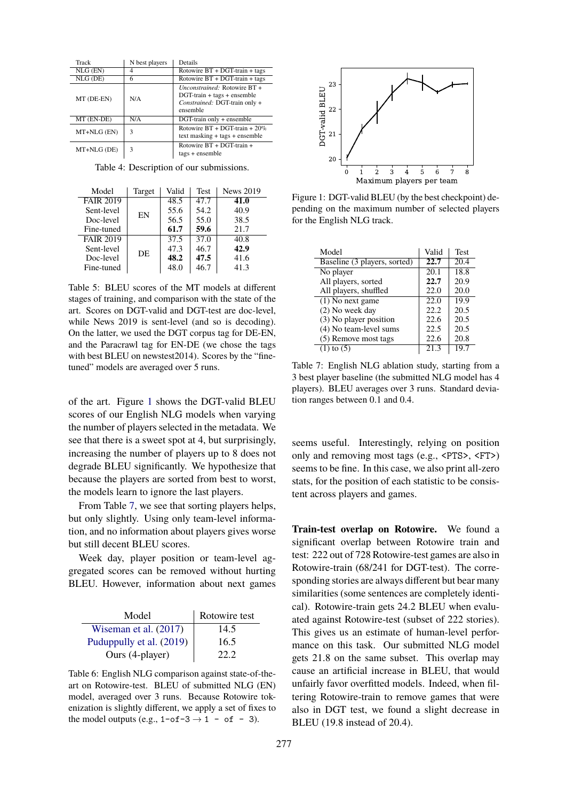<span id="page-4-0"></span>

| Track          | N best players | Details                                                                                                            |
|----------------|----------------|--------------------------------------------------------------------------------------------------------------------|
| $NLG$ $(EN)$   |                | Rotowire BT + DGT-train + tags                                                                                     |
| $NLG$ ( $DE$ ) | 6              | Rotowire BT + DGT-train + tags                                                                                     |
| MT (DE-EN)     | N/A            | <i>Unconstrained:</i> Rotowire BT +<br>$DGT$ -train + tags + ensemble<br>Constrained: DGT-train only +<br>ensemble |
| MT (EN-DE)     | N/A            | DGT-train only + ensemble                                                                                          |
| MT+NLG (EN)    | 3              | Rotowire $BT + DGT-train + 20%$<br>$text$ masking + tags + ensemble                                                |
| MT+NLG (DE)    | 3              | Rotowire BT + DGT-train +<br>$tags + ensemble$                                                                     |

Table 4: Description of our submissions.

<span id="page-4-1"></span>

| Model            | Target | Valid | <b>Test</b>       | <b>News 2019</b> |
|------------------|--------|-------|-------------------|------------------|
| <b>FAIR 2019</b> |        | 48.5  | 47.7              | 41.0             |
| Sent-level       | EN     | 55.6  | 54.2              | 40.9             |
| Doc-level        |        | 56.5  | 55.0              | 38.5             |
| Fine-tuned       |        | 61.7  | 59.6              | 21.7             |
| <b>FAIR 2019</b> |        | 37.5  | $\overline{37.0}$ | 40.8             |
| Sent-level       | DE     | 47.3  | 46.7              | 42.9             |
| Doc-level        |        | 48.2  | 47.5              | 41.6             |
| Fine-tuned       |        | 48.0  | 46.7              | 41.3             |

Table 5: BLEU scores of the MT models at different stages of training, and comparison with the state of the art. Scores on DGT-valid and DGT-test are doc-level, while News 2019 is sent-level (and so is decoding). On the latter, we used the DGT corpus tag for DE-EN, and the Paracrawl tag for EN-DE (we chose the tags with best BLEU on newstest2014). Scores by the "finetuned" models are averaged over 5 runs.

of the art. Figure [1](#page-4-3) shows the DGT-valid BLEU scores of our English NLG models when varying the number of players selected in the metadata. We see that there is a sweet spot at 4, but surprisingly, increasing the number of players up to 8 does not degrade BLEU significantly. We hypothesize that because the players are sorted from best to worst, the models learn to ignore the last players.

From Table [7](#page-4-4), we see that sorting players helps, but only slightly. Using only team-level information, and no information about players gives worse but still decent BLEU scores.

Week day, player position or team-level aggregated scores can be removed without hurting BLEU. However, information about next games

<span id="page-4-2"></span>

| Model                    | Rotowire test |
|--------------------------|---------------|
| Wiseman et al. (2017)    | 14.5          |
| Puduppully et al. (2019) | 16.5          |
| Ours (4-player)          | 22.2          |

Table 6: English NLG comparison against state-of-theart on Rotowire-test. BLEU of submitted NLG (EN) model, averaged over 3 runs. Because Rotowire tokenization is slightly different, we apply a set of fixes to the model outputs (e.g.,  $1$ -of- $3 \rightarrow 1$  - of - 3).

<span id="page-4-3"></span>

Figure 1: DGT-valid BLEU (by the best checkpoint) depending on the maximum number of selected players for the English NLG track.

<span id="page-4-4"></span>

| Model                        | Valid | <b>Test</b> |
|------------------------------|-------|-------------|
| Baseline (3 players, sorted) | 22.7  | 20.4        |
| No player                    | 20.1  | 18.8        |
| All players, sorted          | 22.7  | 20.9        |
| All players, shuffled        | 22.0  | 20.0        |
| $(1)$ No next game           | 22.0  | 19.9        |
| (2) No week day              | 22.2  | 20.5        |
| (3) No player position       | 22.6  | 20.5        |
| (4) No team-level sums       | 22.5  | 20.5        |
| (5) Remove most tags         | 22.6  | 20.8        |
| $(1)$ to $(5)$               | 21.3  | 19.7        |

Table 7: English NLG ablation study, starting from a 3 best player baseline (the submitted NLG model has 4 players). BLEU averages over 3 runs. Standard deviation ranges between 0.1 and 0.4.

seems useful. Interestingly, relying on position only and removing most tags (e.g., <PTS>, <FT>) seems to be fine. In this case, we also print all-zero stats, for the position of each statistic to be consistent across players and games.

**Train-test overlap on Rotowire.** We found a significant overlap between Rotowire train and test: 222 out of 728 Rotowire-test games are also in Rotowire-train (68/241 for DGT-test). The corresponding stories are always different but bear many similarities (some sentences are completely identical). Rotowire-train gets 24.2 BLEU when evaluated against Rotowire-test (subset of 222 stories). This gives us an estimate of human-level performance on this task. Our submitted NLG model gets 21.8 on the same subset. This overlap may cause an artificial increase in BLEU, that would unfairly favor overfitted models. Indeed, when filtering Rotowire-train to remove games that were also in DGT test, we found a slight decrease in BLEU (19.8 instead of 20.4).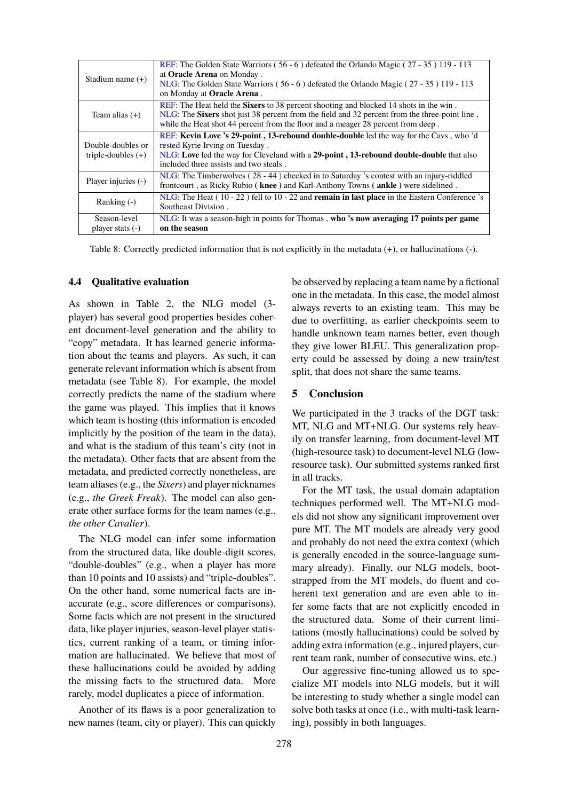<span id="page-5-0"></span>

| Stadium name $(+)$                        | REF: The Golden State Warriors (56 - 6) defeated the Orlando Magic (27 - 35) 119 - 113<br>at <b>Oracle Arena</b> on Monday.<br>NLG: The Golden State Warriors (56 - 6) defeated the Orlando Magic (27 - 35) 119 - 113<br>on Monday at Oracle Arena.                        |
|-------------------------------------------|----------------------------------------------------------------------------------------------------------------------------------------------------------------------------------------------------------------------------------------------------------------------------|
| Team alias $(+)$                          | REF: The Heat held the Sixers to 38 percent shooting and blocked 14 shots in the win.<br>NLG: The Sixers shot just 38 percent from the field and 32 percent from the three-point line,<br>while the Heat shot 44 percent from the floor and a meager 28 percent from deep. |
| Double-doubles or<br>triple-doubles $(+)$ | <b>REF:</b> Kevin Love 's 29-point, 13-rebound double-double led the way for the Cavs, who 'd<br>rested Kyrie Irving on Tuesday.<br>NLG: Love led the way for Cleveland with a 29-point, 13-rebound double-double that also<br>included three assists and two steals.      |
| Player injuries (-)                       | $NLG$ : The Timberwolves (28 - 44) checked in to Saturday 's contest with an injury-riddled<br>frontcourt, as Ricky Rubio (knee) and Karl-Anthony Towns (ankle) were sidelined.                                                                                            |
| Ranking $(-)$                             | $NLG$ : The Heat (10 - 22) fell to 10 - 22 and <b>remain in last place</b> in the Eastern Conference 's<br>Southeast Division.                                                                                                                                             |
| Season-level<br>player stats $(-)$        | NLG: It was a season-high in points for Thomas, who 's now averaging 17 points per game<br>on the season                                                                                                                                                                   |

Table 8: Correctly predicted information that is not explicitly in the metadata (+), or hallucinations (-).

#### **4.4 Qualitative evaluation**

As shown in Table [2](#page-3-0), the NLG model (3 player) has several good properties besides coherent document-level generation and the ability to "copy" metadata. It has learned generic information about the teams and players. As such, it can generate relevant information which is absent from metadata (see Table [8](#page-5-0)). For example, the model correctly predicts the name of the stadium where the game was played. This implies that it knows which team is hosting (this information is encoded implicitly by the position of the team in the data), and what is the stadium of this team's city (not in the metadata). Other facts that are absent from the metadata, and predicted correctly nonetheless, are team aliases (e.g., the *Sixers*) and player nicknames (e.g., *the Greek Freak*). The model can also generate other surface forms for the team names (e.g., *the other Cavalier*).

The NLG model can infer some information from the structured data, like double-digit scores, "double-doubles" (e.g., when a player has more than 10 points and 10 assists) and "triple-doubles". On the other hand, some numerical facts are inaccurate (e.g., score differences or comparisons). Some facts which are not present in the structured data, like player injuries, season-level player statistics, current ranking of a team, or timing information are hallucinated. We believe that most of these hallucinations could be avoided by adding the missing facts to the structured data. More rarely, model duplicates a piece of information.

Another of its flaws is a poor generalization to new names (team, city or player). This can quickly be observed by replacing a team name by a fictional one in the metadata. In this case, the model almost always reverts to an existing team. This may be due to overfitting, as earlier checkpoints seem to handle unknown team names better, even though they give lower BLEU. This generalization property could be assessed by doing a new train/test split, that does not share the same teams.

## **5 Conclusion**

We participated in the 3 tracks of the DGT task: MT, NLG and MT+NLG. Our systems rely heavily on transfer learning, from document-level MT (high-resource task) to document-level NLG (lowresource task). Our submitted systems ranked first in all tracks.

For the MT task, the usual domain adaptation techniques performed well. The MT+NLG models did not show any significant improvement over pure MT. The MT models are already very good and probably do not need the extra context (which is generally encoded in the source-language summary already). Finally, our NLG models, bootstrapped from the MT models, do fluent and coherent text generation and are even able to infer some facts that are not explicitly encoded in the structured data. Some of their current limitations (mostly hallucinations) could be solved by adding extra information (e.g., injured players, current team rank, number of consecutive wins, etc.)

Our aggressive fine-tuning allowed us to specialize MT models into NLG models, but it will be interesting to study whether a single model can solve both tasks at once (i.e., with multi-task learning), possibly in both languages.